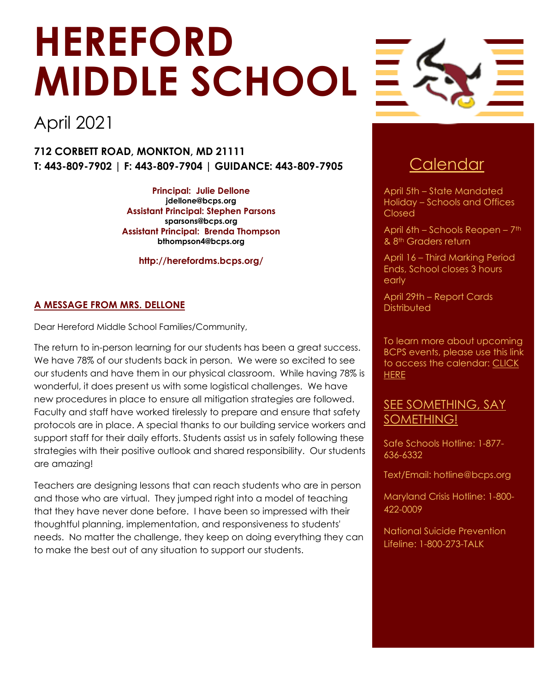# **HEREFORD MIDDLE SCHOOL**

## April 2021

**712 CORBETT ROAD, MONKTON, MD 21111 T: 443-809-7902 | F: 443-809-7904 | GUIDANCE: 443-809-7905** Calendar

> **Principal: Julie Dellone [jdellone@bcps.org](mailto:jdellone@bcps.org) Assistant Principal: Stephen Parsons [sparsons@bcps.org](mailto:sparsons@bcps.org) Assistant Principal: Brenda Thompson [bthompson4@bcps.org](mailto:bthompson4@bcps.org)**

> > **http://herefordms.bcps.org/**

#### **A MESSAGE FROM MRS. DELLONE**

Dear Hereford Middle School Families/Community,

The return to in-person learning for our students has been a great success. We have 78% of our students back in person. We were so excited to see our students and have them in our physical classroom. While having 78% is wonderful, it does present us with some logistical challenges. We have new procedures in place to ensure all mitigation strategies are followed. Faculty and staff have worked tirelessly to prepare and ensure that safety protocols are in place. A special thanks to our building service workers and support staff for their daily efforts. Students assist us in safely following these strategies with their positive outlook and shared responsibility. Our students are amazing!

Teachers are designing lessons that can reach students who are in person and those who are virtual. They jumped right into a model of teaching that they have never done before. I have been so impressed with their thoughtful planning, implementation, and responsiveness to students' needs. No matter the challenge, they keep on doing everything they can to make the best out of any situation to support our students.



April 5th – State Mandated Holiday – Schools and Offices Closed

April 6th – Schools Reopen – 7th & 8th Graders return

April 16 – Third Marking Period Ends, School closes 3 hours early

April 29th – Report Cards **Distributed** 

To learn more about upcoming BCPS events, please use this link to access the calendar: [CLICK](https://www.bcps.org/calendars/)  **[HERE](https://www.bcps.org/calendars/)** 

### SEE SOMETHING, SAY SOMETHING!

Safe Schools Hotline: 1-877- 636-6332

Text/Email: hotline@bcps.org

Maryland Crisis Hotline: 1-800- 422-0009

National Suicide Prevention Lifeline: 1-800-273-TALK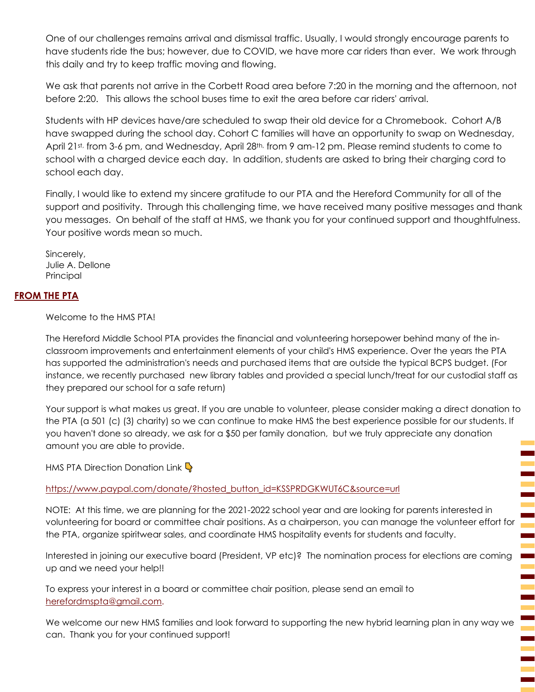One of our challenges remains arrival and dismissal traffic. Usually, I would strongly encourage parents to have students ride the bus; however, due to COVID, we have more car riders than ever. We work through this daily and try to keep traffic moving and flowing.

We ask that parents not arrive in the Corbett Road area before 7:20 in the morning and the afternoon, not before 2:20. This allows the school buses time to exit the area before car riders' arrival.

Students with HP devices have/are scheduled to swap their old device for a Chromebook. Cohort A/B have swapped during the school day. Cohort C families will have an opportunity to swap on Wednesday, April 21st, from 3-6 pm, and Wednesday, April 28<sup>th,</sup> from 9 am-12 pm. Please remind students to come to school with a charged device each day. In addition, students are asked to bring their charging cord to school each day.

Finally, I would like to extend my sincere gratitude to our PTA and the Hereford Community for all of the support and positivity. Through this challenging time, we have received many positive messages and thank you messages. On behalf of the staff at HMS, we thank you for your continued support and thoughtfulness. Your positive words mean so much.

Sincerely, Julie A. Dellone Principal

#### **FROM THE PTA**

Welcome to the HMS PTA!

The Hereford Middle School PTA provides the financial and volunteering horsepower behind many of the inclassroom improvements and entertainment elements of your child's HMS experience. Over the years the PTA has supported the administration's needs and purchased items that are outside the typical BCPS budget. (For instance, we recently purchased new library tables and provided a special lunch/treat for our custodial staff as they prepared our school for a safe return)

Your support is what makes us great. If you are unable to volunteer, please consider making a direct donation to the PTA (a 501 (c) (3) charity) so we can continue to make HMS the best experience possible for our students. If you haven't done so already, we ask for a \$50 per family donation, but we truly appreciate any donation amount you are able to provide.

HMS PTA Direction Donation Link  $\mathbb Q$ 

[https://www.paypal.com/donate/?hosted\\_button\\_id=KSSPRDGKWUT6C&source=url](https://www.paypal.com/donate/?hosted_button_id=KSSPRDGKWUT6C&source=url)

NOTE: At this time, we are planning for the 2021-2022 school year and are looking for parents interested in volunteering for board or committee chair positions. As a chairperson, you can manage the volunteer effort for the PTA, organize spiritwear sales, and coordinate HMS hospitality events for students and faculty.

Ē

Interested in joining our executive board (President, VP etc)? The nomination process for elections are coming up and we need your help!!

To express your interest in a board or committee chair position, please send an email to [herefordmspta@gmail.com.](mailto:herefordmspta@gmail.com)

We welcome our new HMS families and look forward to supporting the new hybrid learning plan in any way we can. Thank you for your continued support!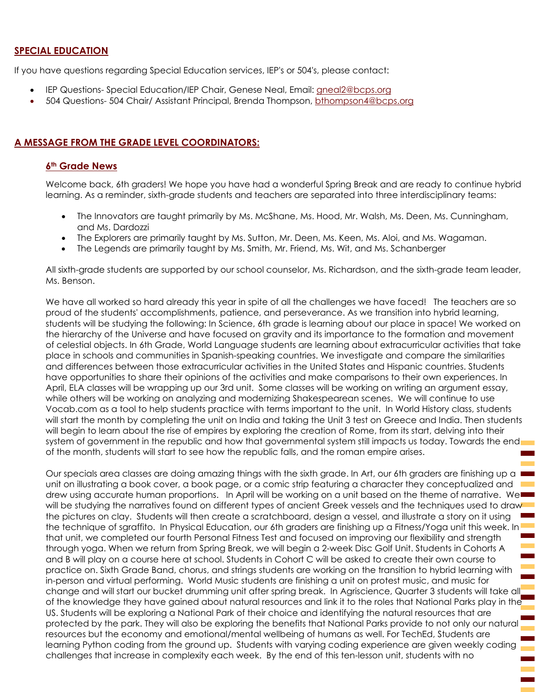#### **SPECIAL EDUCATION**

If you have questions regarding Special Education services, IEP's or 504's, please contact:

- IEP Questions- Special Education/IEP Chair, Genese Neal, Email: [gneal2@bcps.org](mailto:gneal2@bcps.org)
- 504 Questions- 504 Chair/ Assistant Principal, Brenda Thompson, [bthompson4@bcps.org](mailto:bthompson4@bcps.org)

#### **A MESSAGE FROM THE GRADE LEVEL COORDINATORS:**

#### **6th Grade News**

Welcome back, 6th graders! We hope you have had a wonderful Spring Break and are ready to continue hybrid learning. As a reminder, sixth-grade students and teachers are separated into three interdisciplinary teams:

- The Innovators are taught primarily by Ms. McShane, Ms. Hood, Mr. Walsh, Ms. Deen, Ms. Cunningham, and Ms. Dardozzi
- The Explorers are primarily taught by Ms. Sutton, Mr. Deen, Ms. Keen, Ms. Aloi, and Ms. Wagaman.
- The Legends are primarily taught by Ms. Smith, Mr. Friend, Ms. Wit, and Ms. Schanberger

All sixth-grade students are supported by our school counselor, Ms. Richardson, and the sixth-grade team leader, Ms. Benson.

We have all worked so hard already this year in spite of all the challenges we have faced! The teachers are so proud of the students' accomplishments, patience, and perseverance. As we transition into hybrid learning, students will be studying the following: In Science, 6th grade is learning about our place in space! We worked on the hierarchy of the Universe and have focused on gravity and its importance to the formation and movement of celestial objects. In 6th Grade, World Language students are learning about extracurricular activities that take place in schools and communities in Spanish-speaking countries. We investigate and compare the similarities and differences between those extracurricular activities in the United States and Hispanic countries. Students have opportunities to share their opinions of the activities and make comparisons to their own experiences. In April, ELA classes will be wrapping up our 3rd unit. Some classes will be working on writing an argument essay, while others will be working on analyzing and modernizing Shakespearean scenes. We will continue to use Vocab.com as a tool to help students practice with terms important to the unit. In World History class, students will start the month by completing the unit on India and taking the Unit 3 test on Greece and India. Then students will begin to learn about the rise of empires by exploring the creation of Rome, from its start, delving into their system of government in the republic and how that governmental system still impacts us today. Towards the end of the month, students will start to see how the republic falls, and the roman empire arises.

Our specials area classes are doing amazing things with the sixth grade. In Art, our 6th graders are finishing up a unit on illustrating a book cover, a book page, or a comic strip featuring a character they conceptualized and drew using accurate human proportions. In April will be working on a unit based on the theme of narrative. We will be studying the narratives found on different types of ancient Greek vessels and the techniques used to draw the pictures on clay. Students will then create a scratchboard, design a vessel, and illustrate a story on it using the technique of sgraffito. In Physical Education, our 6th graders are finishing up a Fitness/Yoga unit this week. In that unit, we completed our fourth Personal Fitness Test and focused on improving our flexibility and strength through yoga. When we return from Spring Break, we will begin a 2-week Disc Golf Unit. Students in Cohorts A and B will play on a course here at school. Students in Cohort C will be asked to create their own course to practice on. Sixth Grade Band, chorus, and strings students are working on the transition to hybrid learning with in-person and virtual performing. World Music students are finishing a unit on protest music, and music for change and will start our bucket drumming unit after spring break. In Agriscience, Quarter 3 students will take all of the knowledge they have gained about natural resources and link it to the roles that National Parks play in the US. Students will be exploring a National Park of their choice and identifying the natural resources that are protected by the park. They will also be exploring the benefits that National Parks provide to not only our natural resources but the economy and emotional/mental wellbeing of humans as well. For TechEd, Students are learning Python coding from the ground up. Students with varying coding experience are given weekly coding challenges that increase in complexity each week. By the end of this ten-lesson unit, students with no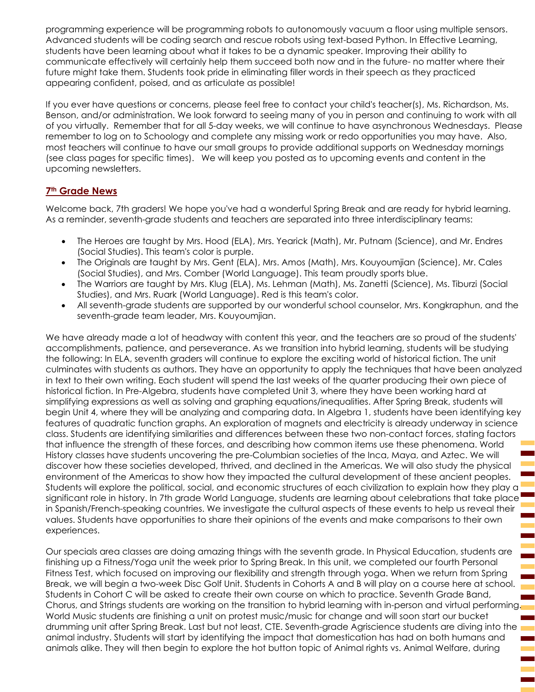programming experience will be programming robots to autonomously vacuum a floor using multiple sensors. Advanced students will be coding search and rescue robots using text-based Python. In Effective Learning, students have been learning about what it takes to be a dynamic speaker. Improving their ability to communicate effectively will certainly help them succeed both now and in the future- no matter where their future might take them. Students took pride in eliminating filler words in their speech as they practiced appearing confident, poised, and as articulate as possible!

If you ever have questions or concerns, please feel free to contact your child's teacher(s), Ms. Richardson, Ms. Benson, and/or administration. We look forward to seeing many of you in person and continuing to work with all of you virtually. Remember that for all 5-day weeks, we will continue to have asynchronous Wednesdays. Please remember to log on to Schoology and complete any missing work or redo opportunities you may have. Also, most teachers will continue to have our small groups to provide additional supports on Wednesday mornings (see class pages for specific times). We will keep you posted as to upcoming events and content in the upcoming newsletters.

#### **7th Grade News**

Welcome back, 7th graders! We hope you've had a wonderful Spring Break and are ready for hybrid learning. As a reminder, seventh-grade students and teachers are separated into three interdisciplinary teams:

- The Heroes are taught by Mrs. Hood (ELA), Mrs. Yearick (Math), Mr. Putnam (Science), and Mr. Endres (Social Studies). This team's color is purple.
- The Originals are taught by Mrs. Gent (ELA), Mrs. Amos (Math), Mrs. Kouyoumjian (Science), Mr. Cales (Social Studies), and Mrs. Comber (World Language). This team proudly sports blue.
- The Warriors are taught by Mrs. Klug (ELA), Ms. Lehman (Math), Ms. Zanetti (Science), Ms. Tiburzi (Social Studies), and Mrs. Ruark (World Language). Red is this team's color.
- All seventh-grade students are supported by our wonderful school counselor, Mrs. Kongkraphun, and the seventh-grade team leader, Mrs. Kouyoumjian.

We have already made a lot of headway with content this year, and the teachers are so proud of the students' accomplishments, patience, and perseverance. As we transition into hybrid learning, students will be studying the following: In ELA, seventh graders will continue to explore the exciting world of historical fiction. The unit culminates with students as authors. They have an opportunity to apply the techniques that have been analyzed in text to their own writing. Each student will spend the last weeks of the quarter producing their own piece of historical fiction. In Pre-Algebra, students have completed Unit 3, where they have been working hard at simplifying expressions as well as solving and graphing equations/inequalities. After Spring Break, students will begin Unit 4, where they will be analyzing and comparing data. In Algebra 1, students have been identifying key features of quadratic function graphs. An exploration of magnets and electricity is already underway in science class. Students are identifying similarities and differences between these two non-contact forces, stating factors that influence the strength of these forces, and describing how common items use these phenomena. World History classes have students uncovering the pre-Columbian societies of the Inca, Maya, and Aztec. We will discover how these societies developed, thrived, and declined in the Americas. We will also study the physical environment of the Americas to show how they impacted the cultural development of these ancient peoples. Students will explore the political, social, and economic structures of each civilization to explain how they play a significant role in history. In 7th grade World Language, students are learning about celebrations that take place in Spanish/French-speaking countries. We investigate the cultural aspects of these events to help us reveal their values. Students have opportunities to share their opinions of the events and make comparisons to their own experiences.

Our specials area classes are doing amazing things with the seventh grade. In Physical Education, students are finishing up a Fitness/Yoga unit the week prior to Spring Break. In this unit, we completed our fourth Personal Fitness Test, which focused on improving our flexibility and strength through yoga. When we return from Spring Break, we will begin a two-week Disc Golf Unit. Students in Cohorts A and B will play on a course here at school. Students in Cohort C will be asked to create their own course on which to practice. Seventh Grade Band, Chorus, and Strings students are working on the transition to hybrid learning with in-person and virtual performing. World Music students are finishing a unit on protest music/music for change and will soon start our bucket drumming unit after Spring Break. Last but not least, CTE. Seventh-grade Agriscience students are diving into the animal industry. Students will start by identifying the impact that domestication has had on both humans and animals alike. They will then begin to explore the hot button topic of Animal rights vs. Animal Welfare, during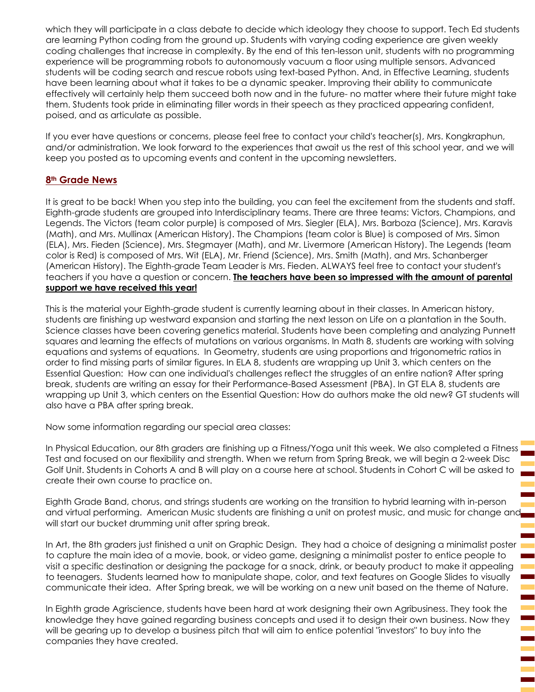which they will participate in a class debate to decide which ideology they choose to support. Tech Ed students are learning Python coding from the ground up. Students with varying coding experience are given weekly coding challenges that increase in complexity. By the end of this ten-lesson unit, students with no programming experience will be programming robots to autonomously vacuum a floor using multiple sensors. Advanced students will be coding search and rescue robots using text-based Python. And, in Effective Learning, students have been learning about what it takes to be a dynamic speaker. Improving their ability to communicate effectively will certainly help them succeed both now and in the future- no matter where their future might take them. Students took pride in eliminating filler words in their speech as they practiced appearing confident, poised, and as articulate as possible.

If you ever have questions or concerns, please feel free to contact your child's teacher(s), Mrs. Kongkraphun, and/or administration. We look forward to the experiences that await us the rest of this school year, and we will keep you posted as to upcoming events and content in the upcoming newsletters.

#### **8th Grade News**

It is great to be back! When you step into the building, you can feel the excitement from the students and staff. Eighth-grade students are grouped into Interdisciplinary teams. There are three teams: Victors, Champions, and Legends. The Victors (team color purple) is composed of Mrs. Siegler (ELA), Mrs. Barboza (Science), Mrs. Karavis (Math), and Mrs. Mullinax (American History). The Champions (team color is Blue) is composed of Mrs. Simon (ELA), Mrs. Fieden (Science), Mrs. Stegmayer (Math), and Mr. Livermore (American History). The Legends (team color is Red) is composed of Mrs. Wit (ELA), Mr. Friend (Science), Mrs. Smith (Math), and Mrs. Schanberger (American History). The Eighth-grade Team Leader is Mrs. Fieden. ALWAYS feel free to contact your student's teachers if you have a question or concern. **The teachers have been so impressed with the amount of parental support we have received this year!**

This is the material your Eighth-grade student is currently learning about in their classes. In American history, students are finishing up westward expansion and starting the next lesson on Life on a plantation in the South. Science classes have been covering genetics material. Students have been completing and analyzing Punnett squares and learning the effects of mutations on various organisms. In Math 8, students are working with solving equations and systems of equations. In Geometry, students are using proportions and trigonometric ratios in order to find missing parts of similar figures. In ELA 8, students are wrapping up Unit 3, which centers on the Essential Question: How can one individual's challenges reflect the struggles of an entire nation? After spring break, students are writing an essay for their Performance-Based Assessment (PBA). In GT ELA 8, students are wrapping up Unit 3, which centers on the Essential Question: How do authors make the old new? GT students will also have a PBA after spring break.

Now some information regarding our special area classes:

In Physical Education, our 8th graders are finishing up a Fitness/Yoga unit this week. We also completed a Fitness Test and focused on our flexibility and strength. When we return from Spring Break, we will begin a 2-week Disc Golf Unit. Students in Cohorts A and B will play on a course here at school. Students in Cohort C will be asked to create their own course to practice on.

Eighth Grade Band, chorus, and strings students are working on the transition to hybrid learning with in-person and virtual performing. American Music students are finishing a unit on protest music, and music for change and will start our bucket drumming unit after spring break.

In Art, the 8th graders just finished a unit on Graphic Design. They had a choice of designing a minimalist poster to capture the main idea of a movie, book, or video game, designing a minimalist poster to entice people to visit a specific destination or designing the package for a snack, drink, or beauty product to make it appealing to teenagers. Students learned how to manipulate shape, color, and text features on Google Slides to visually communicate their idea. After Spring break, we will be working on a new unit based on the theme of Nature.

In Eighth grade Agriscience, students have been hard at work designing their own Agribusiness. They took the knowledge they have gained regarding business concepts and used it to design their own business. Now they will be gearing up to develop a business pitch that will aim to entice potential "investors" to buy into the companies they have created.

֖֖֖֖ׅ֚֚֚֚֚֚֚֚֚֚֚֚֚֚֬֝֝֝֝֬֝֬֓֡֬֝֬֝֓֬֝֓֬֝֓֬֝֓֬֝֓֬֝֓֬֝֓֬֝֓֬֝֓֬֝֬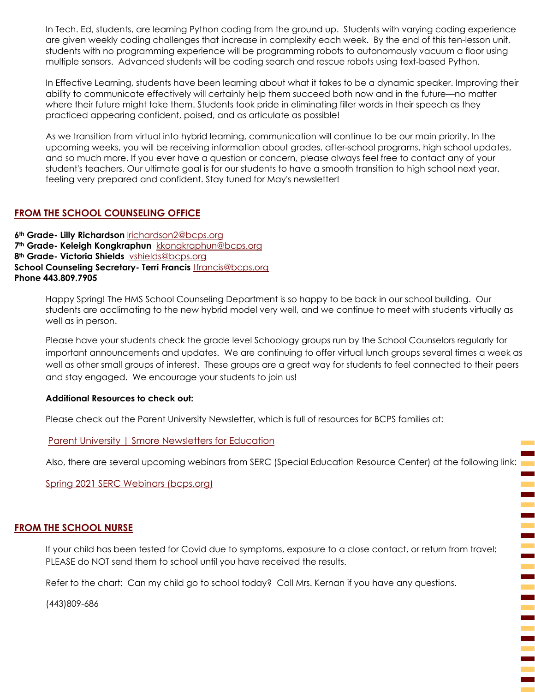In Tech. Ed, students, are learning Python coding from the ground up. Students with varying coding experience are given weekly coding challenges that increase in complexity each week. By the end of this ten-lesson unit, students with no programming experience will be programming robots to autonomously vacuum a floor using multiple sensors. Advanced students will be coding search and rescue robots using text-based Python.

In Effective Learning, students have been learning about what it takes to be a dynamic speaker. Improving their ability to communicate effectively will certainly help them succeed both now and in the future—no matter where their future might take them. Students took pride in eliminating filler words in their speech as they practiced appearing confident, poised, and as articulate as possible!

As we transition from virtual into hybrid learning, communication will continue to be our main priority. In the upcoming weeks, you will be receiving information about grades, after-school programs, high school updates, and so much more. If you ever have a question or concern, please always feel free to contact any of your student's teachers. Our ultimate goal is for our students to have a smooth transition to high school next year, feeling very prepared and confident. Stay tuned for May's newsletter!

#### **FROM THE SCHOOL COUNSELING OFFICE**

**6th Grade- Lilly Richardson** [lrichardson2@bcps.org](mailto:lrichardson2@bcps.org) **7th Grade- Keleigh Kongkraphun** [kkongkraphun@bcps.org](mailto:kkongkraphun@bcps.org) **8th Grade- Victoria Shields** [vshields@bcps.org](mailto:vshields@bcps.org) **School Counseling Secretary- Terri Francis** [tfrancis@bcps.org](mailto:tfrancis@bcps.org) **Phone 443.809.7905**

> Happy Spring! The HMS School Counseling Department is so happy to be back in our school building. Our students are acclimating to the new hybrid model very well, and we continue to meet with students virtually as well as in person.

Please have your students check the grade level Schoology groups run by the School Counselors regularly for important announcements and updates. We are continuing to offer virtual lunch groups several times a week as well as other small groups of interest. These groups are a great way for students to feel connected to their peers and stay engaged. We encourage your students to join us!

#### **Additional Resources to check out:**

Please check out the Parent University Newsletter, which is full of resources for BCPS families at:

[Parent University | Smore Newsletters for Education](https://www.smore.com/yhcku-parent-university?ref=email)

Also, there are several upcoming webinars from SERC (Special Education Resource Center) at the following link:

[Spring 2021 SERC Webinars \(bcps.org\)](https://dci.bcps.org/UserFiles/Servers/Server_9046958/File/Special%20Education/Spring%202021%20SERC%20Webinars.pdf)

#### **FROM THE SCHOOL NURSE**

If your child has been tested for Covid due to symptoms, exposure to a close contact, or return from travel: PLEASE do NOT send them to school until you have received the results.

Ξ

Ξ

Refer to the chart: Can my child go to school today? Call Mrs. Kernan if you have any questions.

(443)809-686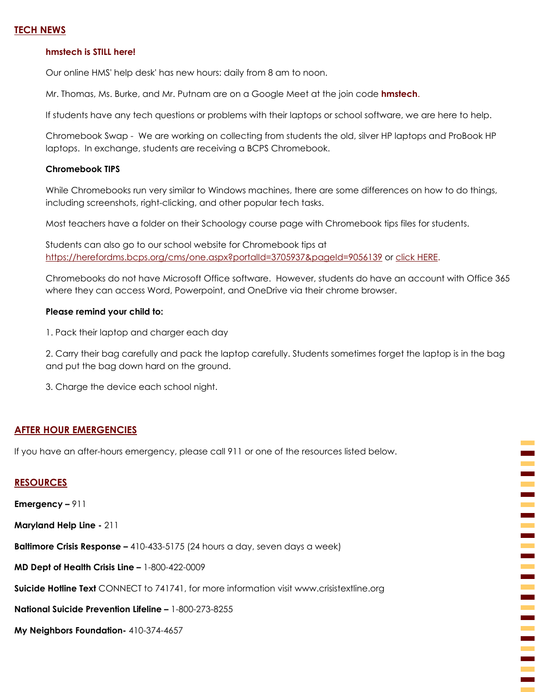#### **TECH NEWS**

#### **hmstech is STILL here!**

Our online HMS' help desk' has new hours: daily from 8 am to noon.

Mr. Thomas, Ms. Burke, and Mr. Putnam are on a Google Meet at the join code **hmstech**.

If students have any tech questions or problems with their laptops or school software, we are here to help.

Chromebook Swap - We are working on collecting from students the old, silver HP laptops and ProBook HP laptops. In exchange, students are receiving a BCPS Chromebook.

#### **Chromebook TIPS**

While Chromebooks run very similar to Windows machines, there are some differences on how to do things, including screenshots, right-clicking, and other popular tech tasks.

Most teachers have a folder on their Schoology course page with Chromebook tips files for students.

Students can also go to our school website for Chromebook tips at <https://herefordms.bcps.org/cms/one.aspx?portalId=3705937&pageId=9056139> or [click HERE.](https://herefordms.bcps.org/cms/one.aspx?portalId=3705937&pageId=9056139)

Chromebooks do not have Microsoft Office software. However, students do have an account with Office 365 where they can access Word, Powerpoint, and OneDrive via their chrome browser.

#### **Please remind your child to:**

1. Pack their laptop and charger each day

2. Carry their bag carefully and pack the laptop carefully. Students sometimes forget the laptop is in the bag and put the bag down hard on the ground.

3. Charge the device each school night.

#### **AFTER HOUR EMERGENCIES**

If you have an after-hours emergency, please call 911 or one of the resources listed below.

#### **RESOURCES**

**Emergency –** 911

**Maryland Help Line -** 211

**Baltimore Crisis Response –** 410-433-5175 (24 hours a day, seven days a week)

**MD Dept of Health Crisis Line –** 1-800-422-0009

**Suicide Hotline Text** CONNECT to 741741, for more information visit www.crisistextline.org

**National Suicide Prevention Lifeline –** 1-800-273-8255

**My Neighbors Foundation-** 410-374-4657